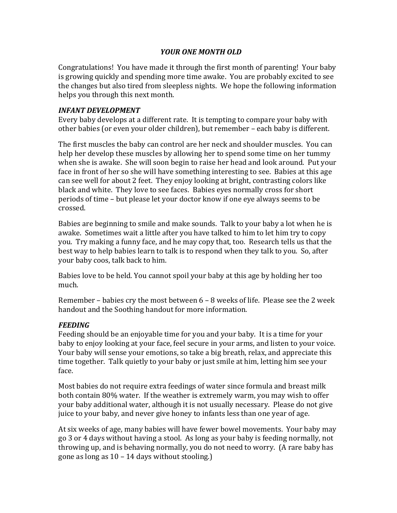## *YOUR ONE MONTH OLD*

Congratulations! You have made it through the first month of parenting! Your baby is growing quickly and spending more time awake. You are probably excited to see the changes but also tired from sleepless nights. We hope the following information helps you through this next month.

## *INFANT DEVELOPMENT*

Every baby develops at a different rate. It is tempting to compare your baby with other babies (or even your older children), but remember – each baby is different.

The first muscles the baby can control are her neck and shoulder muscles. You can help her develop these muscles by allowing her to spend some time on her tummy when she is awake. She will soon begin to raise her head and look around. Put your face in front of her so she will have something interesting to see. Babies at this age can see well for about 2 feet. They enjoy looking at bright, contrasting colors like black and white. They love to see faces. Babies eyes normally cross for short periods of time – but please let your doctor know if one eye always seems to be crossed.

Babies are beginning to smile and make sounds. Talk to your baby a lot when he is awake. Sometimes wait a little after you have talked to him to let him try to copy you. Try making a funny face, and he may copy that, too. Research tells us that the best way to help babies learn to talk is to respond when they talk to you. So, after your baby coos, talk back to him.

Babies love to be held. You cannot spoil your baby at this age by holding her too much.

Remember – babies cry the most between  $6 - 8$  weeks of life. Please see the 2 week handout and the Soothing handout for more information.

## *FEEDING*

Feeding should be an enjoyable time for you and your baby. It is a time for your baby to enjoy looking at your face, feel secure in your arms, and listen to your voice. Your baby will sense your emotions, so take a big breath, relax, and appreciate this time together. Talk quietly to your baby or just smile at him, letting him see your face.

Most babies do not require extra feedings of water since formula and breast milk both contain 80% water. If the weather is extremely warm, you may wish to offer your baby additional water, although it is not usually necessary. Please do not give juice to your baby, and never give honey to infants less than one year of age.

At six weeks of age, many babies will have fewer bowel movements. Your baby may go 3 or 4 days without having a stool. As long as your baby is feeding normally, not throwing up, and is behaving normally, you do not need to worry. (A rare baby has gone as long as  $10 - 14$  days without stooling.)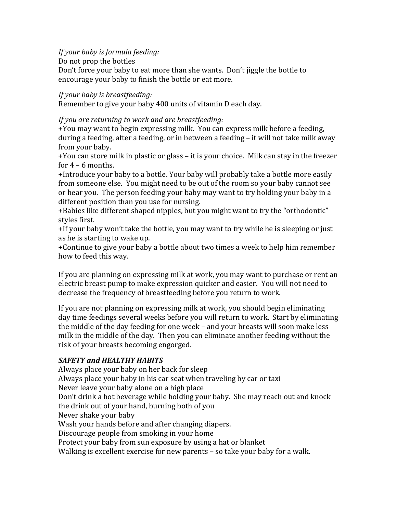*If* your baby is formula feeding:

Do not prop the bottles

Don't force your baby to eat more than she wants. Don't jiggle the bottle to encourage your baby to finish the bottle or eat more.

*If* your baby is breastfeeding:

Remember to give your baby 400 units of vitamin D each day.

## If you are returning to work and are breastfeeding:

+You may want to begin expressing milk. You can express milk before a feeding, during a feeding, after a feeding, or in between a feeding  $-$  it will not take milk away from your baby.

+You can store milk in plastic or glass – it is your choice. Milk can stay in the freezer for  $4 - 6$  months.

+Introduce your baby to a bottle. Your baby will probably take a bottle more easily from someone else. You might need to be out of the room so your baby cannot see or hear you. The person feeding your baby may want to try holding your baby in a different position than you use for nursing.

+Babies like different shaped nipples, but you might want to try the "orthodontic" styles first.

+If your baby won't take the bottle, you may want to try while he is sleeping or just as he is starting to wake up.

+ Continue to give your baby a bottle about two times a week to help him remember how to feed this way.

If you are planning on expressing milk at work, you may want to purchase or rent an electric breast pump to make expression quicker and easier. You will not need to decrease the frequency of breastfeeding before you return to work.

If you are not planning on expressing milk at work, you should begin eliminating day time feedings several weeks before you will return to work. Start by eliminating the middle of the day feeding for one week - and your breasts will soon make less milk in the middle of the day. Then you can eliminate another feeding without the risk of your breasts becoming engorged.

# *SAFETY and HEALTHY HABITS*

Always place your baby on her back for sleep Always place your baby in his car seat when traveling by car or taxi Never leave your baby alone on a high place Don't drink a hot beverage while holding your baby. She may reach out and knock the drink out of your hand, burning both of you Never shake your baby Wash your hands before and after changing diapers. Discourage people from smoking in your home Protect your baby from sun exposure by using a hat or blanket Walking is excellent exercise for new parents  $-$  so take your baby for a walk.